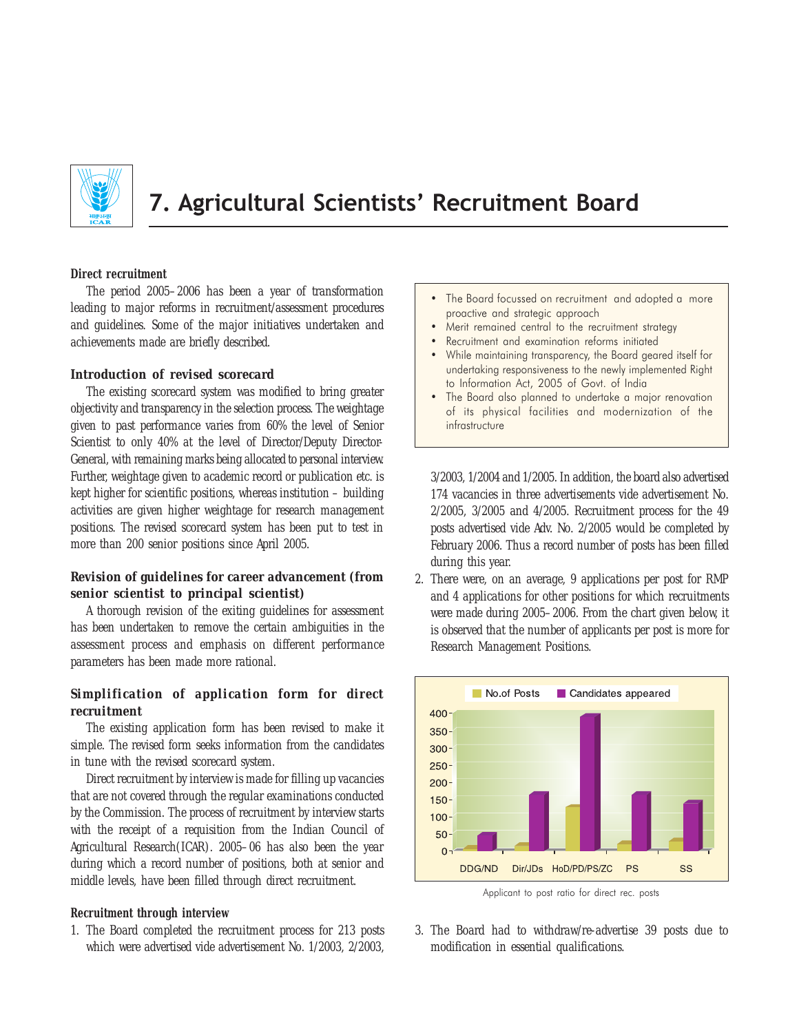

7. Agricultural Scientists' Recruitment Board

#### **Direct recruitment**

The period 2005–2006 has been a year of transformation leading to major reforms in recruitment/assessment procedures and guidelines. Some of the major initiatives undertaken and achievements made are briefly described.

### *Introduction of revised scorecard*

The existing scorecard system was modified to bring greater objectivity and transparency in the selection process. The weightage given to past performance varies from 60% the level of Senior Scientist to only 40% at the level of Director/Deputy Director-General, with remaining marks being allocated to personal interview. Further, weightage given to academic record or publication etc. is kept higher for scientific positions, whereas institution – building activities are given higher weightage for research management positions. The revised scorecard system has been put to test in more than 200 senior positions since April 2005.

# *Revision of guidelines for career advancement* **(***from senior scientist to principal scientist***)**

A thorough revision of the exiting guidelines for assessment has been undertaken to remove the certain ambiguities in the assessment process and emphasis on different performance parameters has been made more rational.

## *Simplification of application form for direct recruitment*

The existing application form has been revised to make it simple. The revised form seeks information from the candidates in tune with the revised scorecard system.

Direct recruitment by interview is made for filling up vacancies that are not covered through the regular examinations conducted by the Commission. The process of recruitment by interview starts with the receipt of a requisition from the Indian Council of Agricultural Research(ICAR). 2005–06 has also been the year during which a record number of positions, both at senior and middle levels, have been filled through direct recruitment.

#### **Recruitment through interview**

1. The Board completed the recruitment process for 213 posts which were advertised vide advertisement No. 1/2003, 2/2003,

- The Board focussed on recruitment and adopted a more proactive and strategic approach
- Merit remained central to the recruitment strategy
- Recruitment and examination reforms initiated
- While maintaining transparency, the Board geared itself for undertaking responsiveness to the newly implemented Right to Information Act, 2005 of Govt. of India
- The Board also planned to undertake a major renovation of its physical facilities and modernization of the infrastructure

3/2003, 1/2004 and 1/2005. In addition, the board also advertised 174 vacancies in three advertisements vide advertisement No. 2/2005, 3/2005 and 4/2005. Recruitment process for the 49 posts advertised vide Adv. No. 2/2005 would be completed by February 2006. Thus a record number of posts has been filled during this year.

2. There were, on an average, 9 applications per post for RMP and 4 applications for other positions for which recruitments were made during 2005–2006. From the chart given below, it is observed that the number of applicants per post is more for Research Management Positions.



Applicant to post ratio for direct rec. posts

3. The Board had to withdraw/re-advertise 39 posts due to modification in essential qualifications.